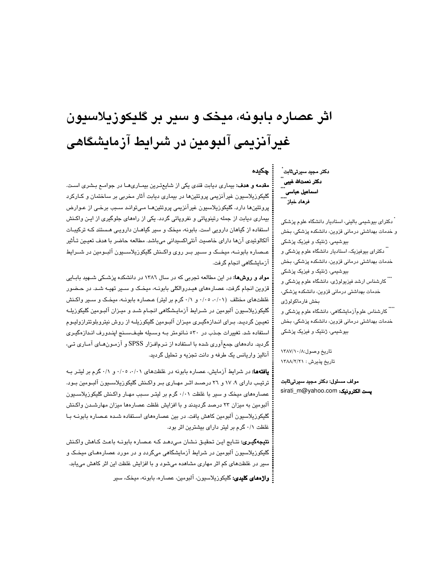# اثر عصاره بابونه، میخک و سیر بر گلیکوزیلاسیون غیرآنزیمی آلبومین در شرایط آزمایشگاهی

مقدمه و هدف: بیماری دیابت قندی یکی از شایعترین بیماریها در جوامـع بـشری اسـت. گلیکوزیلاسیون غیرآنزیمی پروتئینها در بیماری دیابت آثار مخربی بر ساختمان و کـارکرد پروتئینها دارد. گلیکوزیلاسیون غیرآنزیمی پروتئینهـا مـیتوانـد سـبب برخـی از عـوارض بیماری دیابت از جمله رتینوپاتی و نفروپاتی گردد. یکی از راههای جلوگیری از ایـن واکـنش استفاده از گیاهان دارویی است. بابونه، میخک و سیر گیاهـان دارویـی هـستند کـه ترکیبـات آلكالوئيدي آنها داراي خاصيت آنتي|كسيداني ميباشد. مطالعه حاضر با هدف تعيـين تـأثير عـصاره بابونــه، میخـک و سـیر بـر روی واکـنش گلیکوزیلاسـیون آلبـومین در شــرایط آزمایشگاهی انجام گرفت.

**مواد و روشها:** در این مطالعه تجربی که در سال ۱۳۸۲ در دانشکده پزشـکی شـهید بابـایی قزوین انجام گرفت، عصارههای هیدروالکلی بابونـه، میخـک و سـیر تهیـه شـد. در حـضور غلظتهای مختلف (۰/۰۱، ۰/۰۰ و ۰/۱ گرم بر لیتر) عصاره بابونـه، میخـک و سـیر واکـنش گلیکوزیلاسیون آلبومین در شـرایط آزمایـشگاهی انجـام شـد و میـزان آلبـومین گلیکوزیلـه تعیین گردیـد. بـرای انـدازهگیـری میـزان آلبـومین گلیکوزیلـه از روش نیتروبلوتترازولیـوم استفاده شد. تغییرات جذب در ٥٣٠ نانومتر به وسیله طیفسنج ایندورف اندازهگیری گردید. دادههای جمعآوری شده با استفاده از نـرمافـزار SPSS و آزمـونهـای آمـاری تـی، آنالیز واریانس یک طرفه و دانت تجزیه و تحلیل گردید.

**یافتهها:** در شرایط آزمایش، عصاره بابونه در غلظتهای ۰/۰۱، ۰/۰۰ و ۰/۱ گرم بر لیتـر بـه ترتیب دارای ۹، ۱۷ و ۲۲ درصد اثـر مهـاری بـر واکـنش گلیکوزیلاسـیون آلبـومین بـود. عصارههای میخک و سیر با غلظت ۰/۰۱ گرم بر لیتر سبب مهـار واکـنش گلیکوزیلاسـیون آلبومین به میزان ۲۳ درصد گردیدند و با افزایش غلظت عصارهها میزان مهارشـدن واکـنش گلیکوزیلاسیون آلبومین کاهش یافت. در بین عصارههای اسـتفاده شـده عـصاره بابونــه بـا غلظت ۰/۱ گرم بر لیتر دارای بیشترین اثر بود.

**نتيجهگيري:** نتـايج ايـن تحقيـق نـشان مـىدهـد كـه عـصـاره بابونـه باعـث كـاهش واكـنش گلیکوزیلاسیون آلبومین در شرایط آزمایشگاهی میگردد و در مورد عصارههـای میخـک و سیر در غلظتهای کم اثر مهاری مشاهده میشود و با افزایش غلظت این اثر کاهش میبابد.

: واژەهاي كليدي: گليكوزيلاسيون، آلبومين، عصاره، بابونه، ميخک، سير

دكتر مجيد سيرتىثابت ُ ۔<br>دکتر نعمتاللہ غیبی<br>\*\*\* ۔<br>اسماعیل عباسی کنند<br>۔۔۔۔۔ فرهاد خباز

چکیده

ً دکترای بیوشیمی بالینی، استادیار دانشگاه علوم پزشکی و خدمات بهداشتی درمانی قزوین، دانشکده پزشکی، بخش بیوشیمی، ژنتیک و فیزیک پزشکی <sup>"</sup> دکترای بیوفیزیک، استادیار دانشگاه علوم پزشکی و خدمات بهداشتی درمانی قزوین، دانشکده پزشکی، بخش بیوشیمی، ژنتیک و فیزیک پزشکی ...<br>...<br>کارشناس ارشد فیزیولوژی، دانشگاه علوم پزشکی و خدمات بهداشتی درمانی قزوین، دانشکده پزشکی، بخش فارماكولوژى .....<br>\*\*\*\* کارشناس علومآزمایشگاهی، دانشگاه علوم پزشکی و خدمات بهداشتی درمانی قزوین، دانشکده پزشکی، بخش بیوشیمی، ژنتیک و فیزیک پزشکی

تاريخ وصول:١٢٨٧/١٠/٨ تاریخ پذیرش : ۱۳۸۸/۲/۲۱

مولف مسئول: دکتر مجید سیرتی ثابت sirati\_m@yahoo.com فيست الكترونيك: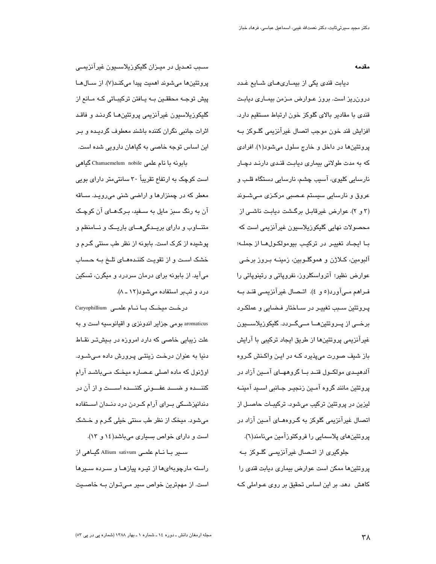#### مقدمه

دیابت قندی یکی از بیمـاریهـای شـایع غـدد درون ریز است. بروز عـوارض مـزمن بیمـاری دیابـت قندی با مقادیر بالای گلوکز خون ارتباط مستقیم دارد. افزایش قند خون موجب اتصال غیرآنزیمی گلـوکز بـه پروتئينها در داخل و خارج سلول ميشود(١). افرادي که به مدت طولانی بیماری دیابت قندی دارند دچار نارسایی کلیوی، آسیب چشم، نارسایی دستگاه قلب و عروق و نارسايي سيستم عـصبي مركـزي مـيشـوند (٣ و ٢). عوارض غيرقابل بركشت ديابت ناشى از محصولات نھايى گليكوزيلاسيون غيرآنزيمي است كه با ايجاد تغيير در تركيب بيومولكول ها از جمله؛ آلبومين، كـلاژن و هموگلـوبين، زمينــه بـروز برخـى عوارض نظیر؛ آترواسکلروز، نفرویاتی و رتینویاتی را فـراهم مـی آورد(٥ و ٤). اتـصال غیرآنزیمـی قنـد بــه پـرونئین ســبب تغییـر در ســاختار فـضایی و عملکـرد برخــي از پــروتئينھـــا مـــيگــردد. گليکوزيلاســـيون غیرآنزیمی پروتئینها از طریق ایجاد ترکیبی با آرایش باز شیف صورت میپذیرد کـه در ایـن واکـنش گـروه آلدهیـدی مولکــول قنــد بــا گروههــای آمــین آزاد در پروٽئين مانند گروه آمـين زنجيـر جـانبي اسـيد آمينــه لیزین در پروتئین ترکیب میشود. ترکیبـات حاصـل از اتصال غیرآنزیمی گلوکز به گـروههـای آمـین آزاد در پروتئینهای پلاسمایی را فروکتوزآمین مینامند(٦).

جلوگیری از اتـصال غیرآنزیمـی گلـوکز بـه پروتئینها ممکن است عوارض بیماری دیابت قندی را کاهش ۔دهد. بر این اساس تحقیق بر روی عـواملی کـه

سـبب تعـدیل در میـزان گلیکوزیلاسـیون غیرآنزیمـے، يروتئينها مي شوند اهميت پيدا مي كند(٧). از سـالهـا پیش توجـه محققـین بـه پـافتن ترکیبـاتی کـه مـانع از گلیکوزیلاسیون غیرآنزیمی پروتئینهـا گردنـد و فاقـد اثرات جانبی نگران کننده باشند معطوف گردیده و بر این اساس توجه خاصی به گیاهان دارویی شده است. بابونه با نام علمی Chamaemelum nobile گیاهی

است کوچک به ارتفاع تقریباً ۳۰ سانتی،متر دارای بویی معطر که در چمنزارها و اراضی شنی میروید. سـاقه آن به رنگ سبز مایل به سـفید، بـرگـهـای آن کوچـک متناوب و دارای بریـدگی هـای باریـک و نـامنظم و پوشیده از کرک است. بابونه از نظر طب سنتی گـرم و خشک است و از تقویت کنندههای تلخ به حساب می آید. از بابونه برای درمان سردرد و میگرن، تسکین درد و تب بر استفاده می شود(١٢ ـ ٨).

درخت میخک با نام علمے Caryophillium aromaticus بومي جزاير اندونزي و اقيانوسيه است و به علت زیبایی خاصی که دارد امروزه در بـیشتـر نقـاط دنیا به عنوان درخت زینتی پرورش داده میشود. اوژنول که ماده اصلی عـصاره میخـک مـیباشـد آرام كننـــده و ضــــد عفـــونى كننـــده اســـت و از آن در دندانپزشــکی بــرای آرام کــردن درد دنــدان اســتفاده میشود. میخک از نظر طب سنتی خیلی گـرم و خـشک است و دارای خواص بسیاری میباشد(١٤ و ١٣).

ســیر بــا نــام علمــی Allium sativum گیــاهی از راسته مارچوبهای ها از تیره پیازهـا و سـرده سـیرها است. از مهمترین خواص سیر مے توان بـه خاصـیت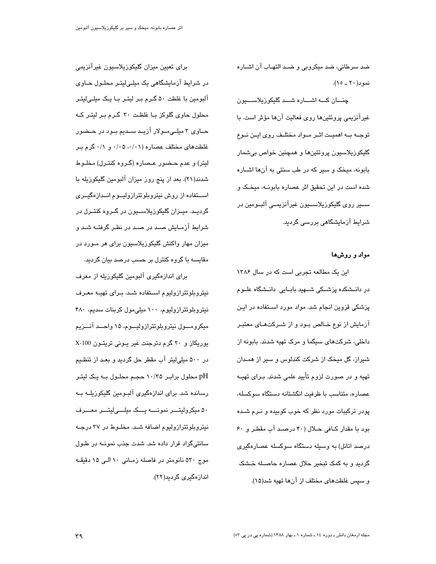ضد سرطانی، ضد میکروبی و ضـد التهـاب آن اشــاره  $(10 - 1)$  نمو د

چنسان کسه اشساره شسد گلیکوزیلاسسیون غیرآنزیمی پروتئینها روی فعالیت آنها مؤثر است. با توجـه بـه اهميـت اثـر مـواد مختلـف روى ايـن نـوع گلیکوزیلاسیون پروتئینها و همچنین خواص بیشمار بابونه، میخک و سیر که در طب سنتی به آنها اشـاره شده است در این تحقیق اثر عصاره بابونـه، میخـک و سيس روي گليکوزپلاسيٽون غيرآنزيمني آلسومين در شرایط آزمایشگاهی بررسی گردید.

#### مواد و روشها

این یک مطالعه تجربی است که در سال ۱۳۸۶ در دانـشکده پزشـکی شــهید بابـایی دانـشگاه علــوم پزشکی قزوین انجام شد. مواد مورد اسـتفاده در ایـن آزمایش از نوع خـالص بـود و از شـرکتهـای معتبـر داخلی، شرکتهای سیگما و مرک تهیه شدند. بابونه از شیراز، گل میخک از شرکت کندلوس و سیر از همـدان تهیه و در صورت لزوم تأیید علمی شدند. بـرای تهیــه عصاره، متناسب با ظرفیت انگشتانه دستگاه سوکسله، پودر ترکیبات مورد نظر که خوب کوبیده و نـرم شـده بود با مقدار كـافى حـلال (۴۰ درصـد آب مقطـر و ۶۰ درصد اتانل) به وسیله دستگاه سوکسله عصارهگیری گردید و به کمک تبخیر حلال عصاره حاصـله خـشک و سپس غلظتهای مختلف از آنها تهیه شد(۱۵).

برای تعیین میزان گلیکوزیلاسیون غیرآنزیمی در شرایط آزمایشگاهی یک میلے لیتر محلول حـاوی آلبومین با غلظت ۵۰ گـرم بـر لیتـر بـا یـک میلـی|لیتـر محلول حاوی گلوکز با غلظت ۳۰ گرم بر لیتر که حــاوی ۳ میلــیمــولار آزیــد ســدیم بــود در حــضور غلظتهای مختلف عصاره (۰/۰۱، ۰/۰۵ و ۰/۱ گرم ب ليتر) و عدم حـضور عـصاره (گـروه کنتـرل) مخلـوط شدند(۲۱). بعد از پنج روز میزان آلبومین گلیکوزیله با استقاده از روش نیتروبلوتترازولیوم اندازهگیری گرديــد. ميــزان گليکوزيلاســيون در گــروه کنتــرل در شرایط آزمـایش صـد در صـد در نظـر گرفتـه شـد و میزان مهار واکنش گلیکوزیلاسیون برای هر مـورد در مقاسسه با گروه کنترل بر حسب درصد بیان گردید.

برای اندازهگیری آلبومین گلیکوزیله از معرف نیتروبلوتترازولیوم استفاده شد. برای تهیه معرف نیتروبلوتترازولیوم، ۱۰۰ میلی مول کربنات سدیم، ۴۸۰ میکرومـــول نیتروبلوتترازولیـــوم، ۱۵ واحـــد آنـــزیم یوریکاز و ۲۰ گرم دترجنت غیر یونی تریتون X-100 در ۵۰۰ میلی لیتر آب مقطر حل گردید و بعـد از تنظـیم pH محلول برابر ۱۰/۳۵ حجـم محلـول بـه یـک لیتـر رسانده شد. برای اندازهگیری آلبومین گلیکوزیلــه بــه ۵۰ میکرولیتـــر نمونــــه یـــک میلـــیلیتـــر معـــرف نیتروبلوتترازولیوم اضافه شد. مخلـوط در ۳۷ درجـه سانتیگراد قرار داده شد. شدت جذب نمونــه در طـول موج ۵۳۰ نانومتر در فاصله زمـانی ۱۰ الـی ۱۵ دقیقـه اندازەگىرى گردىد(٢٢).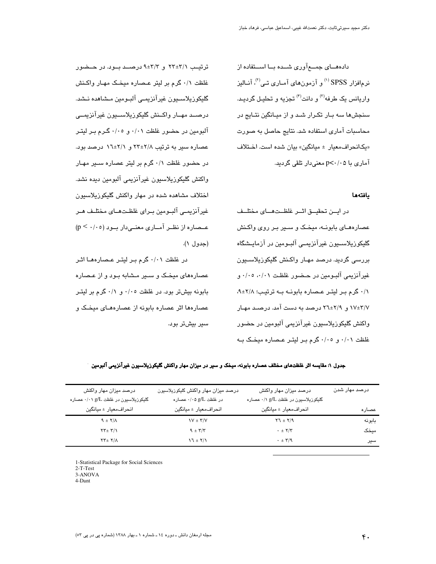دادههــای جمـــع آوری شـــده بـــا اســتفاده از نرمافزار SPSS <sup>(۱)</sup> و آزمونهای آمـاری تـی<sup>(۲)</sup>، آنـالیز واریانس یک طرفه<sup>(۳)</sup> و دانت<sup>(۴)</sup> تجزیه و تحلیل گردید. سنجشها سه بـار تکـرار شـد و از میـانگین نتـایج در محاسبات آماری استفاده شد. نتایج حاصل به صورت «یکانحراف،معیار ± میانگین» بیان شده است. اخـتلاف آماری با p<۰/۰۵ معنیدار تلقی گردید.

#### بافتهها

در ايــن تحقيــق اثــر غلظــتهـــاى مختلــف عصارههـای بابونــه، میخـک و ســیر بـر روی واکـنش گلیکوزیلاســیون غیرآنزیمــی آلبــومین در آزمایــشگاه پررسی گردید. درصد مهار واکنش گلیکوزیلاسیون غيرآنزيمي آلبومين در حضور غلظت ٠/٠٥، ٠/٠٥ و ۰/۱ گرم بر لیتر عصاره بابونـه بـه ترتیب؛ ۰/۸±۹، ۱۷±۲/۷ و. ۲۹±۲۲ درصد به دست آمد. درصـد مهـار واکنش گلیکوزیلاسیون غیرآنزیمی آلبومین در حضور غلظت ۰/۰۱ و ۰/۰۵ گرم بر لیتر عصاره میخک به

ترتیب ۲/۱±۲۲ و ۴/۳±۹ درصد بود. در حـضور غلظت ٠/١ گرم بر ليتر عـصاره ميخـک مهـار واکـنش گليکوزيلاسـيون غيرآنزيمـي آلبـومين مـشاهده نـشد. درصــد مهــار واكــنش گليكوزيلاســيون غيرآنزيمــي آلبومین در حضور غلظت ۰/۰۱ و ۰/۰۵ گـرم بـر لیتـر عصاره سیر به ترتیب ۲/۸±۲۲ و ۱/۱±۲ درصد بود. در حضور غلظت ۰/۱ گرم بر لیتر عصاره سـیر مهـار واكنش گليكوزيلاسيون غيرآنزيمي آلبومين ديده نشد. اختلاف مشاهده شده در مهار واكنش گليكوزيلاسيون غيرآنزيمـي آلبـومين بـراي غلظـتهـاي مختلـف هـر  $(p \leq \cdot / \cdot o)$ عـصاره از نظـر آمـاری معنـیدار بـود (۰/۰٥ (جدول ۱).

در غلظت ۰/۰۱ گرم بر لیتر عصارهها اثر عصارههای میخک و سـیر مـشابه بـود و از عـصاره بابونه بیش تر بود. در غلظت ۰/۰۵ و ۰/۱ گرم بر لیتبر عصارهها اثر عصاره بابونه از عصارههـای میخـک و سیر بیشتر بود.

جدول ۱: مقایسه اثر غلظتهای مختلف عصاره بابونه، میخک و سیر در میزان مهار واکنش گلیکوزپلاسیون غیرآنزیمی آلبومین

| درصد میزان مهار واکنش                   | درصد میزان مهار واکنش گلیکوزیلاسیون | درصد میزان مهار واکنش               | درصد مهار شدن |
|-----------------------------------------|-------------------------------------|-------------------------------------|---------------|
| گلیکوزیلاسیون در غلظت g/L ۰/۰۱ عصاره    | در غلظت $g/L$ ۰/۰۵ عصاره            | گلیکوزیلاسیون در غلظت g/L ۰/۱ عصاره |               |
| انحراف معيار ± ميانگين                  | انحراف معيار ± ميانگين              | انحراف معيار ± ميانگين              | عصاره         |
| $9 \pm 7/\Lambda$                       | $V \pm \Upsilon/V$                  | $Y7 \pm Y/9$                        | بابونه        |
| $\tau\tau$ + $\tau/\gamma$              | $9 \pm 7/7$                         | $\cdot$ $\pm$ $Y/Y$                 | ميخک          |
| $\Upsilon\Upsilon \pm \Upsilon/\Lambda$ | $\sqrt{1 + \tau}$                   | $\cdot$ $\pm$ $\Upsilon/9$          | سير           |
|                                         |                                     |                                     |               |

1-Statistical Package for Social Sciences

 $2-T-Test$ 

3-ANOVA 4-Dant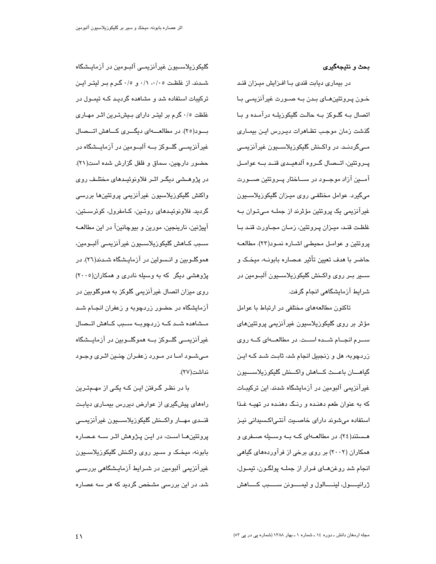## بحث و نتيجهگيري

در بیماری دیابت قندی بـا افـزایش میـزان قنـد خـون پـروتئینھـای بـدن بـه صـورت غیرآنزیمـی بـا اتصال بـه گلـوکز بـه حالـت گليکوزيلــه درآمـده و بـا گذشت زمان موجب تظاهرات دیـررس ایـن بیمـاری مــیگردنــد. در واکــنش گلیکوزیلاســـیون غیرآنزیمــی پــرونئین، اتــصال گــروه آلدهیــدی قنــد بــه عوامــل آمـــین آزاد موجـــود در ســـاختار پــروتئین صـــورت میگیرد. عوامل مختلفی روی میـزان گلیکوزیلاسـیون غیرآنزیمی یک پروتئین مؤثرند از جملــه مــیتـوان بــه غلظت قنـد، میـزان پـروتئین، زمـان مجـاورت قنـد بـا پروتئين و عوامـل محيطـي اشـاره نمـود(٢٣). مطالعـه حاضر يا هدف تعين تأثير عيصاره بابونيه، ميخيک و ســير بــر روى واكــنش گليكوزيلاســيون آلبــومين در شرابط آزمایشگاهی انجام گرفت.

تاکنون مطالعههای مختلفی در ارتباط با عوامل مؤثر بر روی گلیکوزیلاسیون غیرآنزیمی پروتئین۱ای ســرم انجــام شــده اســت. در مطالعـــهای کـــه روی زردچوبه، هل و زنجبیل انجام شد، ثابت شـد کـه ایـن گياهــان باعــث كــاهش واكــنش گليكوزيلاســـيون غیرآنزیمی آلبومین در آزمایشگاه شدند. این ترکیبـات که به عنوان طعم دهنـده و رنـگ دهنـده در تهبـه غـذا استفاده میشوند دارای خاصـیت آنتـی|کـسیدانی نیـز هستند(٢٤). در مطالعــهای کــه بــه وســیله صــفری و همکاران (۲۰۰۲) بر روی برخی از فرآوردههای گیاهی انجام شد روغنهـای فـرار از جملــه پولگـون، تیمـول، ژرانيسول، لينسالول و ليمسونن سسبب كساهش

گلیکوزیلاســیون غیرآنزیمــی آلبــومین در آزمایــشگاه شدند. از غلظت ۰/۰، ۰/۱، و ۰/۵ گـرم بـر ليتـر ايـن ترکیبات استفاده شد و مشاهده گردید کـه تیمـول در غلظت ٠/٥ گرم بر لیتـر دارای بـیشتـرین اثـر مهـاری بسود(٢٥). در مطالعسهای دیگسری کساهش اتسصال غیرآنزیمــی گلــوکز بـــه آلبــومین در آزمایــشگاه در حضور دارچین، سماق و فلفل گزارش شده است(۲۱). در پژوهـشى ديگـر اثـر فلاونوئيـدهاى مختلـف روى واكنش گليكوزيلاسيون غيرآنزيمي پروتئينها بررسي گرديد. فلاونوئيدهاى روتين، كـامفرول، كوئرسـتين، آپیژنین، نارینجین، مورین و بیوچانینآ در این مطالعــه سـبب كـاهش گليكوزيلاسـيون غيرآنزيمـي آلبـومين، همو گلــوبین و انــسولین در آزمایــشگاه شــدند(٢٦). در پژوهشی دیگر که به وسیله نادری و همکاران(۲۰۰۵) روی میزان اتصال غیرآنزیمی گلوکز به هموگلوبین در آزمایشگاه در حضور زردچوبه و زعفران انجـام شـد مــشاهده شــد کــه زردچوبــه ســبب کــاهش اتــصال غیرآنزیمــی گلــوکز بـــه هموگلــوبین در آزمایــشگاه مےشود امـا در مـورد زعفـران چنـین اثـری وجـود نداشت(۲۷).

با در نظـر گـرفتن ايـن كـه يكـی از مهـمتـرين راههای پیشگیری از عوارض دیررس بیمـاری دیابـت قنسدي مهسار واكسنش گليكوزيلاسسيون غيرآنزيمسي پروتئینهــا اسـت، در ایــن پــژوهش اثــر ســه عـصـاره بابونه، میخک و سـیر روی واکـنش گلیکوزیلاسـیون غیرآنزیمی آلبومین در شـرایط آزمایـشگاهی بررســی شد. در این بررسی مشخص گردید که هر سه عصاره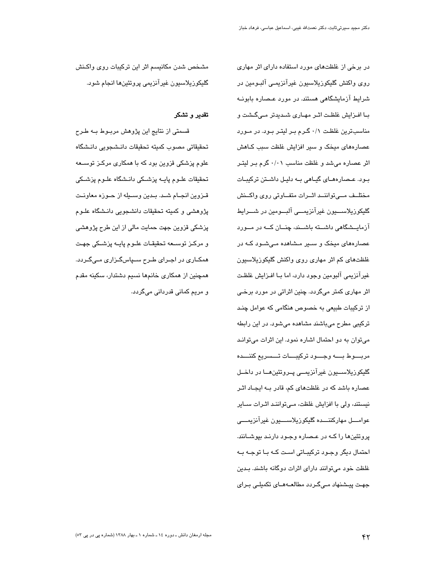در برخی از غلظتهای مورد استفاده دارای اثر مهاری روی واکنش گلیکوزیلاسیون غیرآنزیمے آلبومین در شرایط آزمایشگاهی هستند. در مورد عـصاره بابونــه با افزایش غلظت اثر مهاری شدیدتر میگشت و مناسبترین غلظت ۰/۱ گرم بر لیتر بود. در مورد عصارههای میخک و سیر افزایش غلظت سبب کـاهش اثر عصاره می شد و غلظت مناسب ۰/۰۱ گرم بـر لیتـر بود. عـصارههـای گیـاهی بـه دلیـل داشـتن ترکیبـات مختلف مهى تواننمد اثمرات متفاوتي روى واكمنش گلیکوزیلاســـیون غیرآنزیمـــی آلبـــومین در شـــرایط آزمایــشگاهی داشــته باشــند، چنــان کــه در مــورد عصارههای میخک و سـیر مـشاهده مـیشـود کـه در غلظتهای کم اثر مهاری روی واکنش گلیکوزیلاسیون غير آنزيمي آلبومين وجود دارد، اما بــا افــزايش غلظـت اثر مهاری کمتر میگردد. چنین اثراتی در مورد برخی از ترکیبات طبیعی به خصوص هنگامی که عوامل چند ترکیبی مطرح میباشند مشاهده میشود. در این رابطه میتوان به دو احتمال اشاره نمود. این اثرات میتواند مربسوط بسه وجسود تركيبسات تسسريع كننسده گليکوزيلاســـيون غيرآنزيمـــي پــروتئينھــا در داخــل عصاره باشد که در غلظتهای کم، قادر بـه ایجـاد اثـر نیستند، ولی با افزایش غلظت، مـیتواننـد اثـرات ســایر عوامــــل مهاركننــــده گليكوزيلاســــيون غيرآنزيمــــي پروتئینها را کـه در عـصاره وجـود دارنـد بپوشــانند. احتمال دیگر وجـود ترکیبـاتی اسـت کـه بـا توجـه بـه غلظت خود می توانند دارای اثرات دوگانه باشند. بـدین جهت پیشنهاد مے گردد مطالعـهمای تکمیلے برای

مشخص شدن مكانيسم اثر اين تركيبات روى واكنش گليکوزيلاسيون غيرآنزيمي پروتئينها انجام شود.

## تقدير و تشكر

قسمتی از نتایج این پژوهش مربـوط بـه طـرح تحقيقاتي مصوب كميته تحقيقات دانـشـجويي دانـشگاه علوم پزشکی قزوین بود که با همکاری مرکـز توســعه تحقیقات علـوم پایــه پزشــکی دانـشگاه علــوم پزشـکی قـزوين انجـام شـد. بـدين وســيله از حـوزه معاونـت پژوهشی و کمیته تحقیقات دانشجویی دانـشگاه علــوم پزشکی قزوین جهت حمایت مالی از این طرح پژوهشی و مرکـز توسـعه تحقیقـات علـوم پایـه پزشـکی جهـت همکـاری در اجـرای طـرح سـپاسگـزاری مـیگـردد. همچنین از همکاری خانمها نسیم دشتدار، سکینه مقدم و مريم کمانی قدردانی میگردد.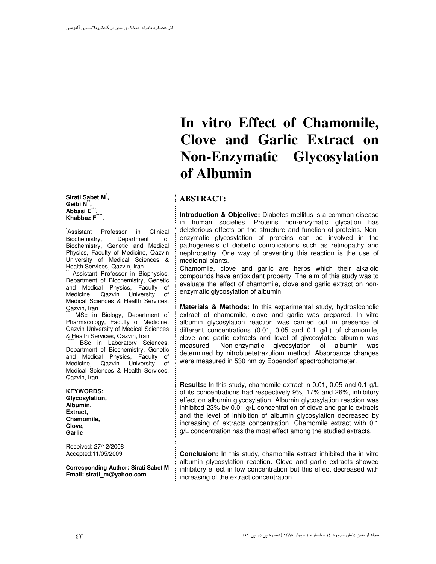**Sirati Sabet M\* , Geibi N\*\* , Abbasi E\*\*\* , Khabbaz F\*\*\*\* .** 

\* Assistant Professor in Clinical Biochemistry, Department of Biochemistry, Genetic and Medical Physics, Faculty of Medicine, Qazvin University of Medical Sciences & Health Services, Qazvin, Iran

Assistant Professor in Biophysics, Department of Biochemistry, Genetic and Medical Physics, Faculty of Medicine, Qazvin University of Medical Sciences & Health Services, Qazvin, Iran

MSc in Biology, Department of Pharmacology, Faculty of Medicine, Qazvin University of Medical Sciences & Health Services, Qazvin, Iran

BSc in Laboratory Sciences, Department of Biochemistry, Genetic and Medical Physics, Faculty of Medicine, Qazvin University of Medical Sciences & Health Services, Qazvin, Iran

#### **KEYWORDS: Glycosylation, Albumin, Extract, Chamomile, Clove,**

**Garlic**  Received: 27/12/2008 Accepted:11/05/2009

**Corresponding Author: Sirati Sabet M Email: sirati\_m@yahoo.com**

# **In vitro Effect of Chamomile, Clove and Garlic Extract on Non-Enzymatic Glycosylation of Albumin**

# **ABSTRACT:**

**Introduction & Objective:** Diabetes mellitus is a common disease in human societies. Proteins non-enzymatic glycation has deleterious effects on the structure and function of proteins. Nonenzymatic glycosylation of proteins can be involved in the pathogenesis of diabetic complications such as retinopathy and nephropathy. One way of preventing this reaction is the use of medicinal plants.

Chamomile, clove and garlic are herbs which their alkaloid compounds have antioxidant property. The aim of this study was to evaluate the effect of chamomile, clove and garlic extract on nonenzymatic glycosylation of albumin.

**Materials & Methods:** In this experimental study, hydroalcoholic extract of chamomile, clove and garlic was prepared. In vitro albumin glycosylation reaction was carried out in presence of different concentrations (0.01, 0.05 and 0.1 g/L) of chamomile, clove and garlic extracts and level of glycosylated albumin was measured. Non-enzymatic glycosylation of albumin was determined by nitrobluetetrazuliom method. Absorbance changes were measured in 530 nm by Eppendorf spectrophotometer.

**Results:** In this study, chamomile extract in 0.01, 0.05 and 0.1 g/L of its concentrations had respectively 9%, 17% and 26%, inhibitory effect on albumin glycosylation. Albumin glycosylation reaction was inhibited 23% by 0.01 g/L concentration of clove and garlic extracts and the level of inhibition of albumin glycosylation decreased by increasing of extracts concentration. Chamomile extract with 0.1 g/L concentration has the most effect among the studied extracts.

**Conclusion:** In this study, chamomile extract inhibited the in vitro albumin glycosylation reaction. Clove and garlic extracts showed inhibitory effect in low concentration but this effect decreased with increasing of the extract concentration.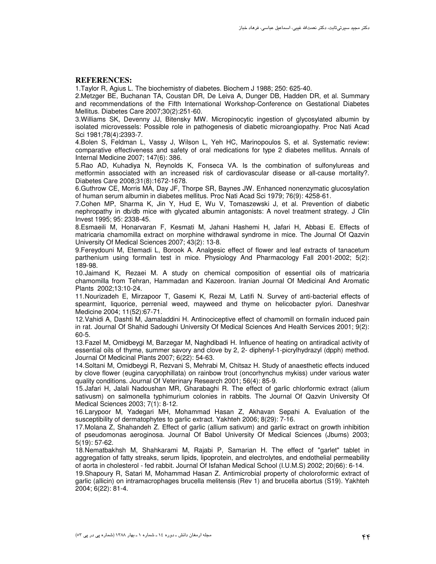#### **REFERENCES:**

1.Taylor R, Agius L. The biochemistry of diabetes. Biochem J 1988; 250: 625-40.

2.Metzger BE, Buchanan TA, Coustan DR, De Leiva A, Dunger DB, Hadden DR, et al. Summary and recommendations of the Fifth International Workshop-Conference on Gestational Diabetes Mellitus. Diabetes Care 2007;30(2):251-60.

3.Williams SK, Devenny JJ, Bitensky MW. Micropinocytic ingestion of glycosylated albumin by isolated microvessels: Possible role in pathogenesis of diabetic microangiopathy. Proc Nati Acad Sci 1981;78(4):2393-7.

4.Bolen S, Feldman L, Vassy J, Wilson L, Yeh HC, Marinopoulos S, et al. Systematic review: comparative effectiveness and safety of oral medications for type 2 diabetes mellitus. Annals of Internal Medicine 2007; 147(6): 386.

5.Rao AD, Kuhadiya N, Reynolds K, Fonseca VA. Is the combination of sulfonylureas and metformin associated with an increased risk of cardiovascular disease or all-cause mortality?. Diabetes Care 2008;31(8):1672-1678.

6.Guthrow CE, Morris MA, Day JF, Thorpe SR, Baynes JW. Enhanced nonenzymatic glucosylation of human serum albumin in diabetes mellitus. Proc Nati Acad Sci 1979; 76(9): 4258-61.

7.Cohen MP, Sharma K, Jin Y, Hud E, Wu V, Tomaszewski J, et al. Prevention of diabetic nephropathy in db/db mice with glycated albumin antagonists: A novel treatment strategy. J Clin Invest 1995; 95: 2338-45.

8.Esmaeili M, Honarvaran F, Kesmati M, Jahani Hashemi H, Jafari H, Abbasi E. Effects of matricaria chamomilla extract on morphine withdrawal syndrome in mice. The Journal Of Qazvin University Of Medical Sciences 2007; 43(2): 13-8.

9.Fereydouni M, Etemadi L, Borook A. Analgesic effect of flower and leaf extracts of tanacetum parthenium using formalin test in mice. Physiology And Pharmacology Fall 2001-2002; 5(2): 189-98.

10. Jaimand K, Rezaei M. A study on chemical composition of essential oils of matricaria chamomilla from Tehran, Hammadan and Kazeroon. Iranian Journal Of Medicinal And Aromatic Plants 2002;13:10-24.

11. Nourizadeh E, Mirzapoor T, Gasemi K, Rezai M, Latifi N. Survey of anti-bacterial effects of spearmint, liquorice, perrenial weed, mayweed and thyme on helicobacter pylori. Daneshvar Medicine 2004; 11(52):67-71.

12. Vahidi A, Dashti M, Jamaladdini H. Antinociceptive effect of chamomill on formalin induced pain in rat. Journal Of Shahid Sadoughi University Of Medical Sciences And Health Services 2001; 9(2): 60-5.

13. Fazel M, Omidbeygi M, Barzegar M, Naghdibadi H. Influence of heating on antiradical activity of essential oils of thyme, summer savory and clove by 2, 2- diphenyl-1-picrylhydrazyl (dpph) method. Journal Of Medicinal Plants 2007; 6(22): 54-63.

14. Soltani M, Omidbeygi R, Rezvani S, Mehrabi M, Chitsaz H. Study of anaesthetic effects induced by clove flower (eugina caryophillata) on rainbow trout (oncorhynchus mykiss) under various water quality conditions. Journal Of Veterinary Research 2001; 56(4): 85-9.

15. Jafari H, Jalali Nadoushan MR, Gharabaghi R. The effect of garlic chlorformic extract (alium sativusm) on salmonella typhimurium colonies in rabbits. The Journal Of Qazvin University Of Medical Sciences 2003; 7(1): 8-12.

16. Larypoor M, Yadegari MH, Mohammad Hasan Z, Akhavan Sepahi A. Evaluation of the susceptibility of dermatophytes to garlic extract. Yakhteh 2006; 8(29): 7-16.

17. Molana Z, Shahandeh Z. Effect of garlic (allium sativum) and garlic extract on growth inhibition of pseudomonas aeroginosa. Journal Of Babol University Of Medical Sciences (Jbums) 2003; 5(19): 57-62.

18. Nematbakhsh M, Shahkarami M, Rajabi P, Samarian H. The effect of "garlet" tablet in aggregation of fatty streaks, serum lipids, lipoprotein, and electrolytes, and endothelial permeability of aorta in cholesterol - fed rabbit. Journal Of Isfahan Medical School (I.U.M.S) 2002; 20(66): 6-14.

19. Shapoury R, Satari M, Mohammad Hasan Z. Antimicrobial property of choloroformic extract of garlic (allicin) on intramacrophages brucella melitensis (Rev 1) and brucella abortus (S19). Yakhteh 2004; 6(22): 81-4.